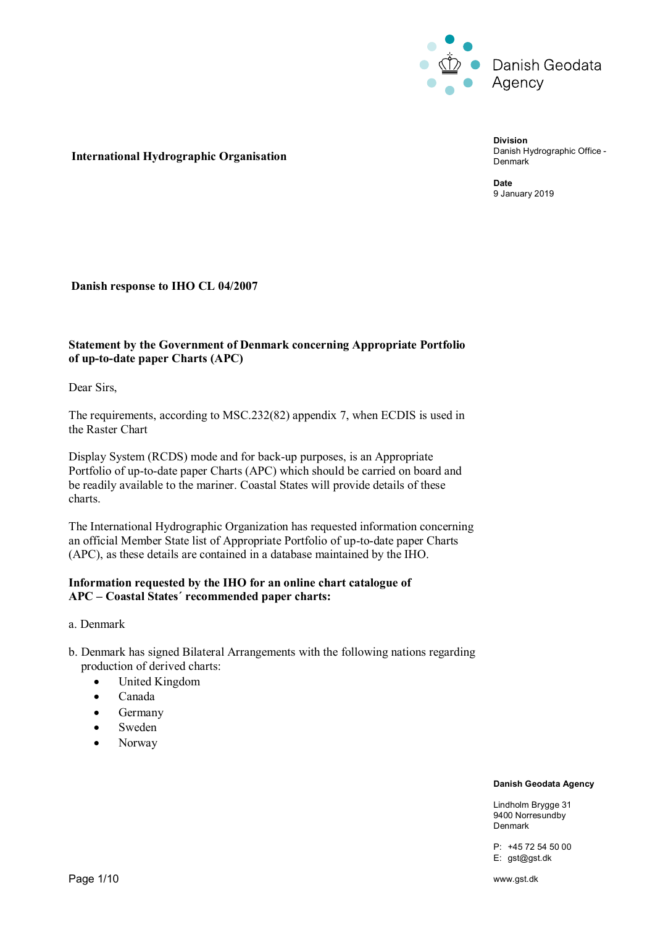

### **International Hydrographic Organisation**

**Division** Danish Hydrographic Office - Denmark

**Date** 9 January 2019

### **Danish response to IHO CL 04/2007**

# **Statement by the Government of Denmark concerning Appropriate Portfolio of up-to-date paper Charts (APC)**

Dear Sirs,

The requirements, according to MSC.232(82) appendix 7, when ECDIS is used in the Raster Chart

Display System (RCDS) mode and for back-up purposes, is an Appropriate Portfolio of up-to-date paper Charts (APC) which should be carried on board and be readily available to the mariner. Coastal States will provide details of these charts.

The International Hydrographic Organization has requested information concerning an official Member State list of Appropriate Portfolio of up-to-date paper Charts (APC), as these details are contained in a database maintained by the IHO.

### **Information requested by the IHO for an online chart catalogue of APC – Coastal States´ recommended paper charts:**

a. Denmark

- b. Denmark has signed Bilateral Arrangements with the following nations regarding production of derived charts:
	- United Kingdom
	- Canada
	- Germany
	- Sweden
	- Norway

#### **Danish Geodata Agency**

Lindholm Brygge 31 9400 Norresundby Denmark

P: +45 72 54 50 00 E: gst@gst.dk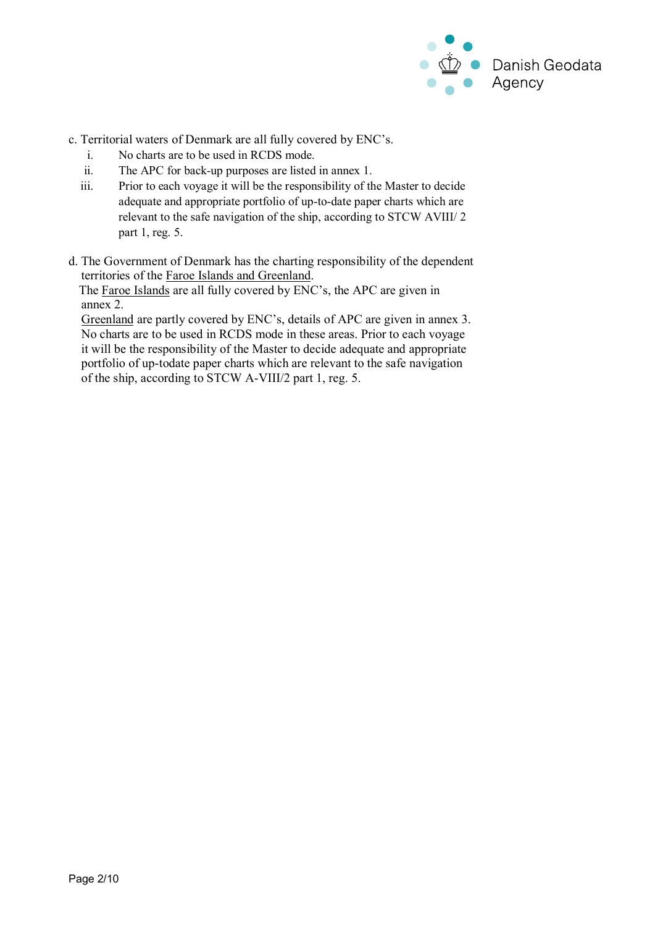

- c. Territorial waters of Denmark are all fully covered by ENC's.
	- i. No charts are to be used in RCDS mode.
	- ii. The APC for back-up purposes are listed in annex 1.
	- iii. Prior to each voyage it will be the responsibility of the Master to decide adequate and appropriate portfolio of up-to-date paper charts which are relevant to the safe navigation of the ship, according to STCW AVIII/ 2 part 1, reg. 5.
- d. The Government of Denmark has the charting responsibility of the dependent territories of the Faroe Islands and Greenland.

 The Faroe Islands are all fully covered by ENC's, the APC are given in annex 2.

 Greenland are partly covered by ENC's, details of APC are given in annex 3. No charts are to be used in RCDS mode in these areas. Prior to each voyage it will be the responsibility of the Master to decide adequate and appropriate portfolio of up-todate paper charts which are relevant to the safe navigation of the ship, according to STCW A-VIII/2 part 1, reg. 5.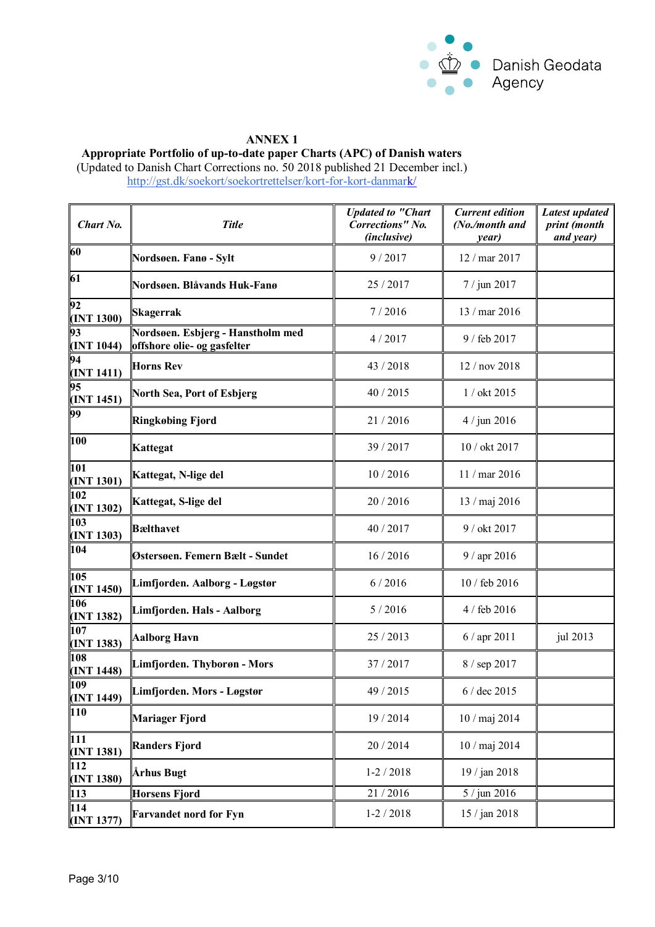

# **ANNEX 1**

**Appropriate Portfolio of up-to-date paper Charts (APC) of Danish waters**

(Updated to Danish Chart Corrections no. 50 2018 published 21 December incl.) <http://gst.dk/soekort/soekortrettelser/kort-for-kort-danmark/>

| Chart No.                      | <b>Title</b>                                                     | <b>Updated to "Chart</b><br><b>Corrections"</b> No.<br>(inclusive) | <b>Current edition</b><br>(No./month and<br>year) | Latest updated<br>print (month<br>and year) |
|--------------------------------|------------------------------------------------------------------|--------------------------------------------------------------------|---------------------------------------------------|---------------------------------------------|
| 60                             | Nordsøen. Fanø - Sylt                                            | 9/2017                                                             | 12 / mar 2017                                     |                                             |
| 61                             | Nordsøen. Blåvands Huk-Fanø                                      | 25 / 2017                                                          | 7 / jun 2017                                      |                                             |
| 92<br>(INT 1300)               | Skagerrak                                                        | 7/2016                                                             | 13 / mar 2016                                     |                                             |
| 93<br>(INT 1044)               | Nordsøen. Esbjerg - Hanstholm med<br>offshore olie- og gasfelter | 4/2017                                                             | 9 / feb 2017                                      |                                             |
| 94<br>(INT 1411)               | <b>Horns Rev</b>                                                 | 43 / 2018                                                          | 12 / nov 2018                                     |                                             |
| 95<br>(INT 1451)               | North Sea, Port of Esbjerg                                       | 40 / 2015                                                          | 1 / okt 2015                                      |                                             |
| 99                             | <b>Ringkøbing Fjord</b>                                          | 21/2016                                                            | $4 /$ jun 2016                                    |                                             |
| 100                            | Kattegat                                                         | 39 / 2017                                                          | 10 / okt 2017                                     |                                             |
| 101<br>(INT 1301)              | Kattegat, N-lige del                                             | 10/2016                                                            | 11 / mar 2016                                     |                                             |
| 102<br>(INT 1302)              | Kattegat, S-lige del                                             | 20/2016                                                            | 13 / maj 2016                                     |                                             |
| 103<br>(INT 1303)              | <b>B</b> ælthavet                                                | 40 / 2017                                                          | 9 / okt 2017                                      |                                             |
| 104                            | Østersøen. Femern Bælt - Sundet                                  | 16/2016                                                            | 9 / apr 2016                                      |                                             |
| 105<br>(INT 1450)              | Limfjorden. Aalborg - Løgstør                                    | 6/2016                                                             | 10 / feb 2016                                     |                                             |
| 106<br>(INT 1382)              | Limfjorden. Hals - Aalborg                                       | 5/2016                                                             | 4 / feb 2016                                      |                                             |
| $10\overline{7}$<br>(INT 1383) | <b>Aalborg Havn</b>                                              | 25 / 2013                                                          | 6 / apr 2011                                      | jul 2013                                    |
| 108<br>(INT 1448)              | Limfjorden. Thyborøn - Mors                                      | 37 / 2017                                                          | 8 / sep 2017                                      |                                             |
| 109<br>(INT 1449)              | Limfjorden. Mors - Løgstør                                       | 49 / 2015                                                          | $6/$ dec 2015                                     |                                             |
| 110                            | <b>Mariager Fjord</b>                                            | 19 / 2014                                                          | 10 / maj 2014                                     |                                             |
| 111<br>(INT 1381)              | <b>Randers Fjord</b>                                             | 20 / 2014                                                          | 10 / maj 2014                                     |                                             |
| 112<br>(INT 1380)              | Århus Bugt                                                       | $1-2/2018$                                                         | 19 / jan 2018                                     |                                             |
| 113                            | <b>Horsens Fjord</b>                                             | 21/2016                                                            | 5 / jun 2016                                      |                                             |
| 114<br>(INT 1377)              | <b>Farvandet nord for Fyn</b>                                    | $1-2/2018$                                                         | 15 / jan 2018                                     |                                             |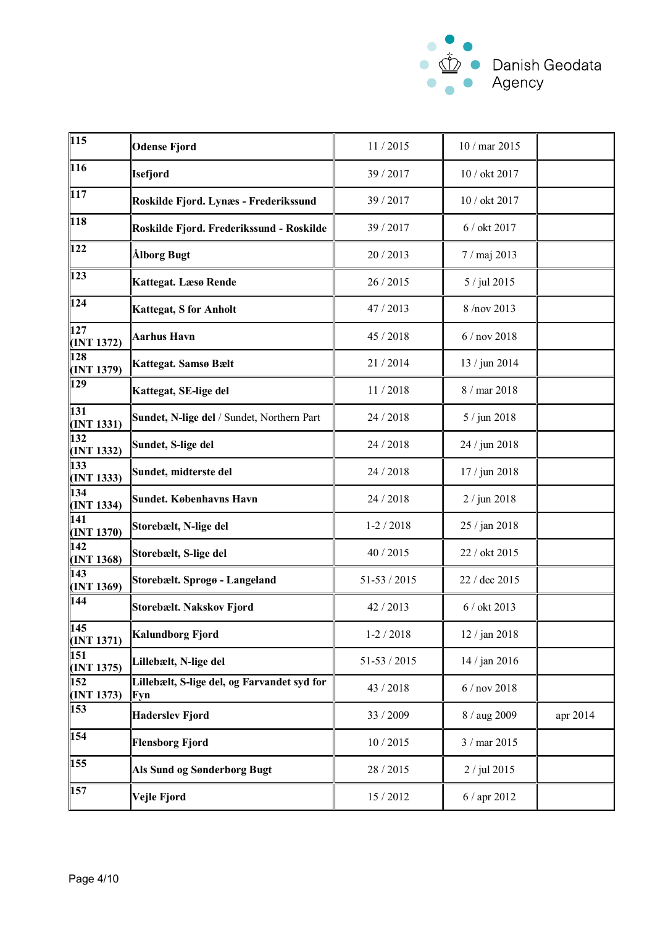

| 115               | <b>Odense Fjord</b>                                | 11/2015          | 10 / mar 2015   |          |
|-------------------|----------------------------------------------------|------------------|-----------------|----------|
| 116               | <b>Isefjord</b>                                    | 39 / 2017        | 10 / okt 2017   |          |
| $\vert$ 117       | Roskilde Fjord. Lynæs - Frederikssund              | 39 / 2017        | 10 / okt 2017   |          |
| 118               | Roskilde Fjord. Frederikssund - Roskilde           | 39 / 2017        | 6 / okt 2017    |          |
| 122               | Ålborg Bugt                                        | 20/2013          | 7 / maj 2013    |          |
| 123               | Kattegat. Læsø Rende                               | 26 / 2015        | 5 / jul 2015    |          |
| 124               | <b>Kattegat, S for Anholt</b>                      | 47 / 2013        | 8/nov 2013      |          |
| 127<br>(INT 1372) | <b>Aarhus Havn</b>                                 | 45 / 2018        | 6 / nov 2018    |          |
| 128<br>(INT 1379) | Kattegat. Samsø Bælt                               | 21/2014          | 13 / jun 2014   |          |
| 129               | Kattegat, SE-lige del                              | 11/2018          | 8 / mar 2018    |          |
| 131<br>(INT 1331) | Sundet, N-lige del / Sundet, Northern Part         | 24 / 2018        | 5 / jun 2018    |          |
| 132<br>(INT 1332) | Sundet, S-lige del                                 | 24 / 2018        | 24 / jun 2018   |          |
| 133<br>(INT 1333) | Sundet, midterste del                              | 24 / 2018        | 17 / jun 2018   |          |
| 134<br>(INT 1334) | <b>Sundet. Københavns Havn</b>                     | 24 / 2018        | 2 / jun 2018    |          |
| 141<br>(INT 1370) | Storebælt, N-lige del                              | $1-2/2018$       | 25 / jan 2018   |          |
| 142<br>(INT 1368) | Storebælt, S-lige del                              | 40 / 2015        | 22 / okt 2015   |          |
| 143<br>(INT 1369) | Storebælt. Sprogø - Langeland                      | $51 - 53 / 2015$ | 22 / dec 2015   |          |
| 144               | Storebælt. Nakskov Fjord                           | 42 / 2013        | 6 / okt 2013    |          |
| 145<br>(INT 1371) | Kalundborg Fjord                                   | $1-2/2018$       | 12 / jan 2018   |          |
| 151<br>(INT 1375) | Lillebælt, N-lige del                              | $51 - 53 / 2015$ | 14 / jan 2016   |          |
| 152<br>(INT 1373) | Lillebælt, S-lige del, og Farvandet syd for<br>Fyn | 43 / 2018        | $6/$ nov $2018$ |          |
| 153               | <b>Haderslev Fjord</b>                             | 33 / 2009        | 8 / aug 2009    | apr 2014 |
| 154               | <b>Flensborg Fjord</b>                             | 10/2015          | 3 / mar 2015    |          |
| 155               | Als Sund og Sønderborg Bugt                        | 28 / 2015        | 2 / jul 2015    |          |
| 157               | Vejle Fjord                                        | 15 / 2012        | 6 / apr 2012    |          |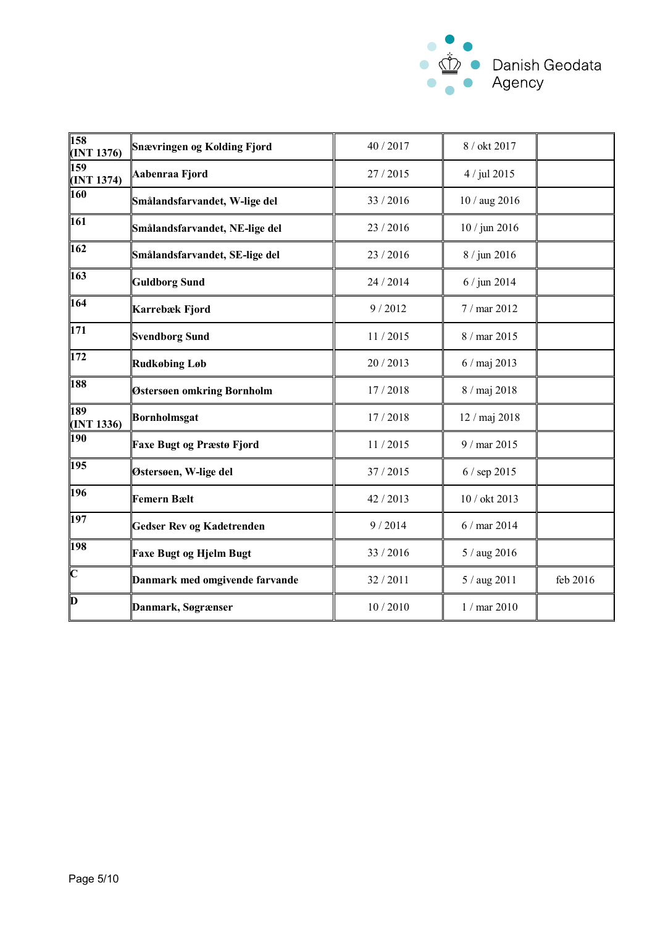

| 158<br>(INT 1376)       | <b>Snævringen og Kolding Fjord</b> | 40 / 2017 | 8 / okt 2017   |          |
|-------------------------|------------------------------------|-----------|----------------|----------|
| 159<br>(INT 1374)       | Aabenraa Fjord                     | 27/2015   | 4 / jul 2015   |          |
| 160                     | Smålandsfarvandet, W-lige del      | 33 / 2016 | 10 / aug 2016  |          |
| 161                     | Smålandsfarvandet, NE-lige del     | 23 / 2016 | 10 / jun 2016  |          |
| 162                     | Smålandsfarvandet, SE-lige del     | 23 / 2016 | 8 / jun 2016   |          |
| 163                     | <b>Guldborg Sund</b>               | 24 / 2014 | $6 /$ jun 2014 |          |
| 164                     | Karrebæk Fjord                     | 9/2012    | 7 / mar 2012   |          |
| 171                     | <b>Svendborg Sund</b>              | 11/2015   | 8 / mar 2015   |          |
| 172                     | <b>Rudkøbing Løb</b>               | 20 / 2013 | 6 / maj 2013   |          |
| 188                     | Østersøen omkring Bornholm         | 17/2018   | 8 / maj 2018   |          |
| 189<br>(INT 1336)       | Bornholmsgat                       | 17/2018   | 12 / maj 2018  |          |
| 190                     | <b>Faxe Bugt og Præstø Fjord</b>   | 11/2015   | 9 / mar 2015   |          |
| 195                     | Østersøen, W-lige del              | 37 / 2015 | 6 / sep 2015   |          |
| 196                     | <b>Femern Bælt</b>                 | 42 / 2013 | 10 / okt 2013  |          |
| 197                     | <b>Gedser Rev og Kadetrenden</b>   | 9/2014    | 6 / mar 2014   |          |
| 198                     | <b>Faxe Bugt og Hjelm Bugt</b>     | 33 / 2016 | 5 / aug 2016   |          |
| $\overline{\mathbf{C}}$ | Danmark med omgivende farvande     | 32 / 2011 | 5 / aug 2011   | feb 2016 |
| Þ                       | Danmark, Søgrænser                 | 10/2010   | $1/mar$ 2010   |          |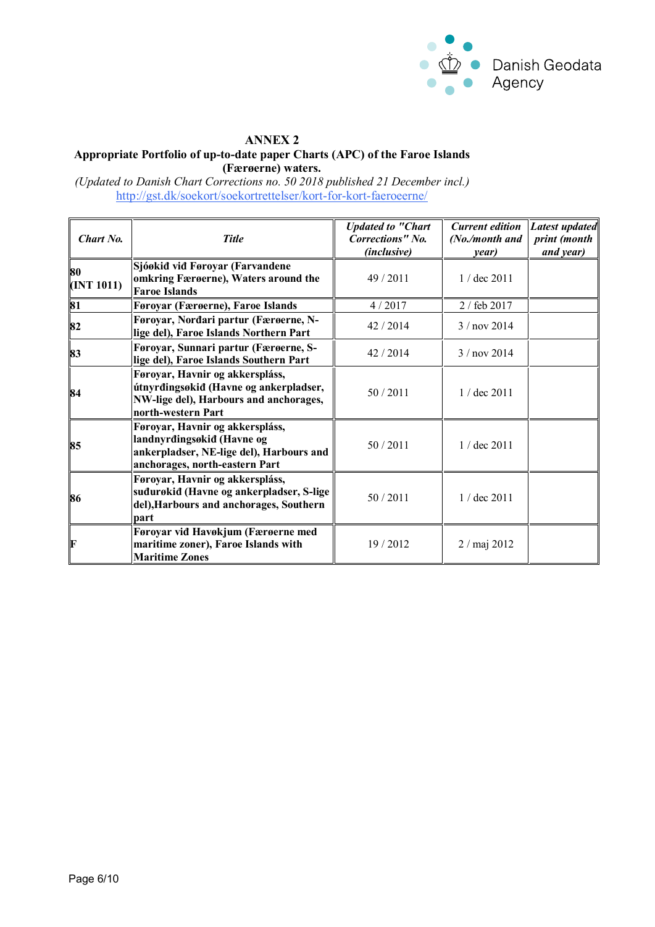

## **ANNEX 2 Appropriate Portfolio of up-to-date paper Charts (APC) of the Faroe Islands (Færøerne) waters.**

*(Updated to Danish Chart Corrections no. 50 2018 published 21 December incl.)* <http://gst.dk/soekort/soekortrettelser/kort-for-kort-faeroeerne/>

| Chart No.        | <b>Title</b>                                                                                                                                | <b>Updated to "Chart</b><br>Corrections" No.<br>(inclusive) | <b>Current edition</b><br>(No./month and<br>year) | Latest updated<br>print (month<br>and year) |
|------------------|---------------------------------------------------------------------------------------------------------------------------------------------|-------------------------------------------------------------|---------------------------------------------------|---------------------------------------------|
| 80<br>(INT 1011) | Sjóøkið við Føroyar (Farvandene<br>omkring Færøerne), Waters around the<br><b>Faroe Islands</b>                                             | 49/2011                                                     | $1 /$ dec $2011$                                  |                                             |
| 81               | Føroyar (Færøerne), Faroe Islands                                                                                                           | 4/2017                                                      | 2 / feb 2017                                      |                                             |
| 82               | Føroyar, Nordari partur (Færøerne, N-<br>lige del), Faroe Islands Northern Part                                                             | 42 / 2014                                                   | 3 / nov 2014                                      |                                             |
| 83               | Føroyar, Sunnari partur (Færøerne, S-<br>lige del), Faroe Islands Southern Part                                                             | 42 / 2014                                                   | $3/$ nov 2014                                     |                                             |
| 84               | Føroyar, Havnir og akkerspláss,<br>útnyrdingsøkid (Havne og ankerpladser,<br>NW-lige del), Harbours and anchorages,<br>north-western Part   | 50/2011                                                     | $1/$ dec $2011$                                   |                                             |
| 85               | Føroyar, Havnir og akkerspláss,<br>landnyrdingsøkid (Havne og<br>ankerpladser, NE-lige del), Harbours and<br>anchorages, north-eastern Part | 50/2011                                                     | $1 /$ dec $2011$                                  |                                             |
| 86               | Føroyar, Havnir og akkerspláss,<br>suđurøkiđ (Havne og ankerpladser, S-lige<br>del), Harbours and anchorages, Southern<br>part              | 50/2011                                                     | $1 /$ dec $2011$                                  |                                             |
| IF               | Føroyar vid Havøkjum (Færøerne med<br>maritime zoner), Faroe Islands with<br><b>Maritime Zones</b>                                          | 19/2012                                                     | $2 /$ maj $2012$                                  |                                             |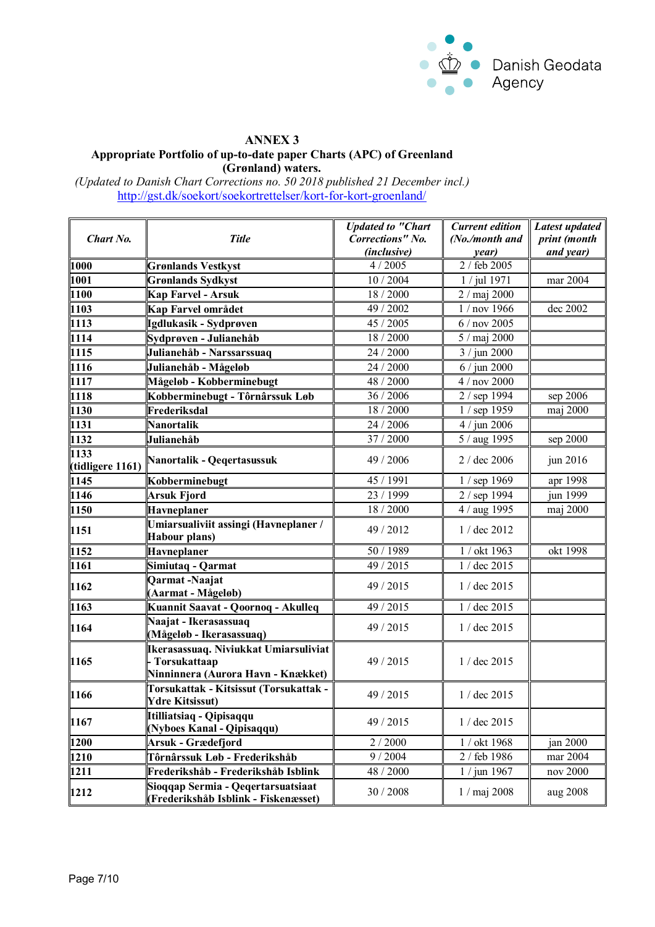

## **ANNEX 3 Appropriate Portfolio of up-to-date paper Charts (APC) of Greenland (Grønland) waters.**

*(Updated to Danish Chart Corrections no. 50 2018 published 21 December incl.)* <http://gst.dk/soekort/soekortrettelser/kort-for-kort-groenland/>

|                          |                                                                                             | <b>Updated to "Chart</b> | <b>Current edition</b> | Latest updated |
|--------------------------|---------------------------------------------------------------------------------------------|--------------------------|------------------------|----------------|
| Chart No.                | <b>Title</b>                                                                                | <b>Corrections"</b> No.  | (No./month and         | print (month   |
|                          |                                                                                             | (inclusive)              | year)                  | and year)      |
| 1000                     | <b>Grønlands Vestkyst</b>                                                                   | 4/2005                   | 2 / feb 2005           |                |
| 1001                     | <b>Grønlands Sydkyst</b>                                                                    | 10 / 2004                | 1 / jul 1971           | mar 2004       |
| 1100                     | Kap Farvel - Arsuk                                                                          | 18 / 2000                | 2 / maj 2000           |                |
| 1103                     | Kap Farvel området                                                                          | 49 / 2002                | 1 / nov 1966           | dec 2002       |
| 1113                     | Igdlukasik - Sydprøven                                                                      | 45 / 2005                | 6 / nov 2005           |                |
| 1114                     | Sydprøven - Julianehåb                                                                      | 18 / 2000                | 5 / maj 2000           |                |
| 1115                     | Julianehåb - Narssarssuaq                                                                   | 24 / 2000                | 3 / jun 2000           |                |
| 1116                     | Julianehåb - Mågeløb                                                                        | 24 / 2000                | $6 /$ jun 2000         |                |
| 1117                     | Mågeløb - Kobberminebugt                                                                    | 48 / 2000                | 4 / nov 2000           |                |
| 1118                     | Kobberminebugt - Tôrnârssuk Løb                                                             | 36 / 2006                | 2 / sep 1994           | sep 2006       |
| 1130                     | Frederiksdal                                                                                | 18 / 2000                | 1 / sep 1959           | maj 2000       |
| 1131                     | <b>Nanortalik</b>                                                                           | 24 / 2006                | $4 /$ jun 2006         |                |
| 1132                     | Julianehåb                                                                                  | 37 / 2000                | 5 / aug 1995           | sep 2000       |
| 1133<br>(tidligere 1161) | Nanortalik - Qeqertasussuk                                                                  | 49 / 2006                | 2 / dec 2006           | jun 2016       |
| 1145                     | Kobberminebugt                                                                              | 45 / 1991                | 1 / sep 1969           | apr 1998       |
| 1146                     | Arsuk Fjord                                                                                 | 23 / 1999                | 2 / sep 1994           | jun 1999       |
| 1150                     | Havneplaner                                                                                 | 18 / 2000                | 4 / aug 1995           | maj 2000       |
| 1151                     | Umiarsualiviit assingi (Havneplaner /<br>Habour plans)                                      | 49 / 2012                | 1 / dec 2012           |                |
| 1152                     | Havneplaner                                                                                 | 50 / 1989                | 1 / okt 1963           | okt 1998       |
| 1161                     | Simiutaq - Qarmat                                                                           | 49 / 2015                | 1 / dec 2015           |                |
| 1162                     | Qarmat-Naajat<br>(Aarmat - Mågeløb)                                                         | 49 / 2015                | 1 / dec 2015           |                |
| 1163                     | Kuannit Saavat - Qoornoq - Akulleq                                                          | 49 / 2015                | 1 / dec 2015           |                |
| 1164                     | Naajat - Ikerasassuaq<br>(Mågeløb - Ikerasassuaq)                                           | 49 / 2015                | 1 / dec 2015           |                |
| 1165                     | Ikerasassuaq. Niviukkat Umiarsuliviat<br>Torsukattaap<br>Ninninnera (Aurora Havn - Knækket) | 49 / 2015                | 1 / dec 2015           |                |
| 1166                     | Torsukattak - Kitsissut (Torsukattak -<br><b>Ydre Kitsissut)</b>                            | 49 / 2015                | 1 / dec 2015           |                |
| 1167                     | Itilliatsiaq - Qipisaqqu<br>(Nyboes Kanal - Qipisaqqu)                                      | 49 / 2015                | 1 / dec 2015           |                |
| 1200                     | Arsuk - Grædefjord                                                                          | 2/2000                   | 1 / okt 1968           | jan 2000       |
| 1210                     | Tôrnârssuk Løb - Frederikshåb                                                               | 9/2004                   | 2 / feb 1986           | mar 2004       |
| 1211                     | Frederikshåb - Frederikshåb Isblink                                                         | 48 / 2000                | 1 / jun 1967           | nov 2000       |
| 1212                     | Sioggap Sermia - Qegertarsuatsiaat<br>(Frederikshåb Isblink - Fiskenæsset)                  | 30 / 2008                | 1 / maj 2008           | aug 2008       |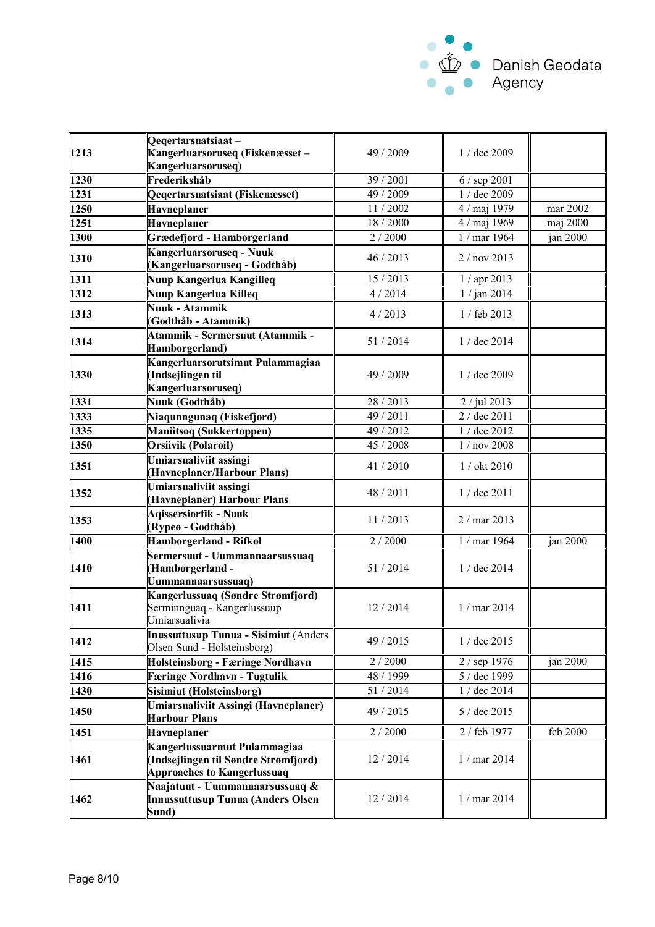

| 1213         | Qeqertarsuatsiaat-                                                                                         |                       |                  |          |
|--------------|------------------------------------------------------------------------------------------------------------|-----------------------|------------------|----------|
|              | Kangerluarsoruseq (Fiskenæsset –                                                                           | 49 / 2009             | 1 / dec 2009     |          |
| 1230         | Kangerluarsoruseq)<br>Frederikshåb                                                                         | 39 / 2001             | 6 / sep 2001     |          |
| 1231         | Qeqertarsuatsiaat (Fiskenæsset)                                                                            | 49 / 2009             | 1 / dec 2009     |          |
|              |                                                                                                            | 11/2002               |                  | mar 2002 |
| 1250<br>1251 | <b>Havneplaner</b>                                                                                         | 18 / 2000             | 4 / maj 1979     |          |
|              | Havneplaner                                                                                                | 2/2000                | 4 / maj 1969     | maj 2000 |
| 1300         | Grædefjord - Hamborgerland                                                                                 |                       | 1 / mar 1964     | jan 2000 |
| 1310         | Kangerluarsoruseq - Nuuk<br>(Kangerluarsoruseq - Godthåb)                                                  | 46 / 2013             | 2 / nov 2013     |          |
| 1311         | Nuup Kangerlua Kangilleq                                                                                   | 15 / 2013             | 1 / apr 2013     |          |
| 1312         | Nuup Kangerlua Killeq                                                                                      | 4/2014                | 1 / jan 2014     |          |
|              | Nuuk - Atammik                                                                                             |                       |                  |          |
| 1313         | (Godthåb - Atammik)                                                                                        | 4/2013                | 1 / feb 2013     |          |
| 1314         | Atammik - Sermersuut (Atammik -<br>Hamborgerland)                                                          | 51/2014               | 1 / dec 2014     |          |
| 1330         | Kangerluarsorutsimut Pulammagiaa<br>(Indsejlingen til<br>Kangerluarsoruseq)                                | 49 / 2009             | $1 /$ dec 2009   |          |
| 1331         | Nuuk (Godthåb)                                                                                             | 28 / 2013             | 2 / jul 2013     |          |
| 1333         | Niaqunngunaq (Fiskefjord)                                                                                  | 49 / 2011             | 2 / dec 2011     |          |
| 1335         | <b>Maniitsoq (Sukkertoppen)</b>                                                                            | 49 / 2012             | 1 / dec 2012     |          |
| 1350         | Orsiivik (Polaroil)                                                                                        | $\frac{1}{45}$ / 2008 | 1 / nov 2008     |          |
| 1351         | Umiarsualiviit assingi<br>(Havneplaner/Harbour Plans)                                                      | 41/2010               | 1 / okt 2010     |          |
| 1352         | Umiarsualiviit assingi<br>(Havneplaner) Harbour Plans                                                      | 48 / 2011             | 1 / dec 2011     |          |
| 1353         | <b>Agissersiorfik - Nuuk</b><br>(Rypeø - Godthåb)                                                          | 11/2013               | $2 /$ mar 2013   |          |
| 1400         | <b>Hamborgerland - Rifkol</b>                                                                              | 2/2000                | 1 / mar 1964     | jan 2000 |
| 1410         | Sermersuut - Uummannaarsussuaq<br>(Hamborgerland-<br>Uummannaarsussuaq)                                    | 51/2014               | $1 /$ dec $2014$ |          |
| 1411         | Kangerlussuaq (Søndre Strømfjord)<br>Serminnguaq - Kangerlussuup<br>Umiarsualivia                          | 12/2014               | 1 / mar 2014     |          |
| 1412         | Inussuttusup Tunua - Sisimiut (Anders<br>Olsen Sund - Holsteinsborg)                                       | 49 / 2015             | 1 / dec 2015     |          |
| 1415         | Holsteinsborg - Færinge Nordhavn                                                                           | 2/2000                | 2 / sep 1976     | jan 2000 |
| 1416         | <b>Færinge Nordhavn - Tugtulik</b>                                                                         | 48 / 1999             | 5 / dec 1999     |          |
| 1430         | Sisimiut (Holsteinsborg)                                                                                   | 51/2014               | 1 / dec 2014     |          |
| 1450         | Umiarsualiviit Assingi (Havneplaner)<br><b>Harbour Plans</b>                                               | 49 / 2015             | 5 / dec 2015     |          |
| 1451         | Havneplaner                                                                                                | 2/2000                | 2 / feb 1977     | feb 2000 |
| 1461         | Kangerlussuarmut Pulammagiaa<br>(Indsejlingen til Søndre Strømfjord)<br><b>Approaches to Kangerlussuaq</b> | 12/2014               | 1 / mar 2014     |          |
| 1462         | Naajatuut - Uummannaarsussuaq &<br>Innussuttusup Tunua (Anders Olsen<br>Sund)                              | 12/2014               | 1 / mar 2014     |          |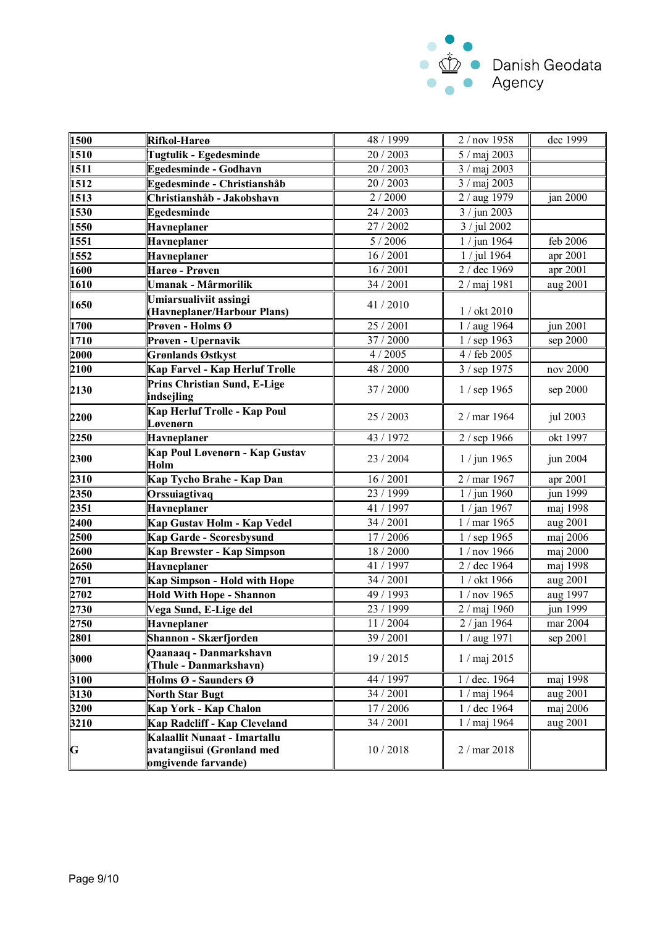

| 1500        | Rifkol-Hareø                                                                      | 48 / 1999           | 2 / nov 1958   | dec 1999 |
|-------------|-----------------------------------------------------------------------------------|---------------------|----------------|----------|
| 1510        | Tugtulik - Egedesminde                                                            | 20 / 2003           | 5 / maj 2003   |          |
| 1511        | <b>Egedesminde - Godhavn</b>                                                      | 20 / 2003           | 3 / maj 2003   |          |
| 1512        | Egedesminde - Christianshåb                                                       | 20 / 2003           | 3 / maj 2003   |          |
| 1513        | Christianshåb - Jakobshavn                                                        | 2/2000              | 2 / aug 1979   | jan 2000 |
| 1530        | Egedesminde                                                                       | 24 / 2003           | 3 / jun 2003   |          |
| 1550        | Havneplaner                                                                       | 27 / 2002           | 3 / jul 2002   |          |
| 1551        | Havneplaner                                                                       | 5/2006              | 1 / jun 1964   | feb 2006 |
| 1552        | <b>Havneplaner</b>                                                                | 16 / 2001           | 1 / jul 1964   | apr 2001 |
| 1600        | Hareø - Prøven                                                                    | 16/2001             | 2 / dec 1969   | apr 2001 |
|             |                                                                                   | 34 / 2001           |                |          |
| 1610        | Umanak - Mârmorilik                                                               |                     | 2 / maj 1981   | aug 2001 |
| 1650        | Umiarsualiviit assingi<br>(Havneplaner/Harbour Plans)                             | 41/2010             | 1 / okt 2010   |          |
| 1700        | <b>Prøven - Holms <math>\overline{O}</math></b>                                   | 25 / 2001           | 1 / aug 1964   | jun 2001 |
| 1710        | Prøven - Upernavik                                                                | $\frac{1}{37}/2000$ | 1 / sep 1963   | sep 2000 |
| 2000        | <b>Grønlands Østkyst</b>                                                          | 4/2005              | 4 / feb 2005   |          |
| 2100        | Kap Farvel - Kap Herluf Trolle                                                    | 48 / 2000           | 3 / sep 1975   | nov 2000 |
| 2130        | Prins Christian Sund, E-Lige<br>indsejling                                        | 37 / 2000           | 1 / sep 1965   | sep 2000 |
| 2200        | Kap Herluf Trolle - Kap Poul<br>Løvenørn                                          | 25 / 2003           | 2 / mar 1964   | jul 2003 |
| 2250        | Havneplaner                                                                       | 43 / 1972           | 2 / sep 1966   | okt 1997 |
| 2300        | Kap Poul Løvenørn - Kap Gustav<br>Holm                                            | 23 / 2004           | $1 /$ jun 1965 | jun 2004 |
| 2310        | Kap Tycho Brahe - Kap Dan                                                         | 16 / 2001           | 2 / mar 1967   | apr 2001 |
| 2350        | Orssuiagtivaq                                                                     | 23 / 1999           | $1 /$ jun 1960 | jun 1999 |
| 2351        | Havneplaner                                                                       | 41 / 1997           | 1 / jan 1967   | maj 1998 |
| 2400        | Kap Gustav Holm - Kap Vedel                                                       | 34 / 2001           | 1 / mar 1965   | aug 2001 |
| 2500        | Kap Garde - Scoresbysund                                                          | 17 / 2006           | 1 / sep 1965   | maj 2006 |
| 2600        | Kap Brewster - Kap Simpson                                                        | 18 / 2000           | 1 / nov 1966   | maj 2000 |
| 2650        | Havneplaner                                                                       | 41 / 1997           | 2 / dec 1964   | maj 1998 |
| 2701        | <b>Kap Simpson - Hold with Hope</b>                                               | 34 / 2001           | 1 / okt 1966   | aug 2001 |
| 2702        | <b>Hold With Hope - Shannon</b>                                                   | 49 / 1993           | 1 / nov 1965   | aug 1997 |
| 2730        | Vega Sund, E-Lige del                                                             | 23 / 1999           | 2 / maj 1960   | jun 1999 |
| 2750        | Havneplaner                                                                       | 11/2004             | 2 / jan 1964   | mar 2004 |
| 2801        | Shannon - Skærfjorden                                                             | 39 / 2001           | 1 / aug 1971   | sep 2001 |
| 3000        | Qaanaaq - Danmarkshavn<br>(Thule - Danmarkshavn)                                  | 19 / 2015           | 1 / maj 2015   |          |
| 3100        | Holms Ø - Saunders Ø                                                              | 44 / 1997           | 1 / dec. 1964  | maj 1998 |
| 3130        | <b>North Star Bugt</b>                                                            | 34 / 2001           | 1 / maj 1964   | aug 2001 |
| 3200        | Kap York - Kap Chalon                                                             | 17 / 2006           | 1 / dec 1964   | maj 2006 |
| 3210        | Kap Radcliff - Kap Cleveland                                                      | 34 / 2001           | 1 / maj 1964   | aug 2001 |
| $\mathbf G$ | Kalaallit Nunaat - Imartallu<br>avatangiisui (Grønland med<br>omgivende farvande) | 10/2018             | 2 / mar 2018   |          |